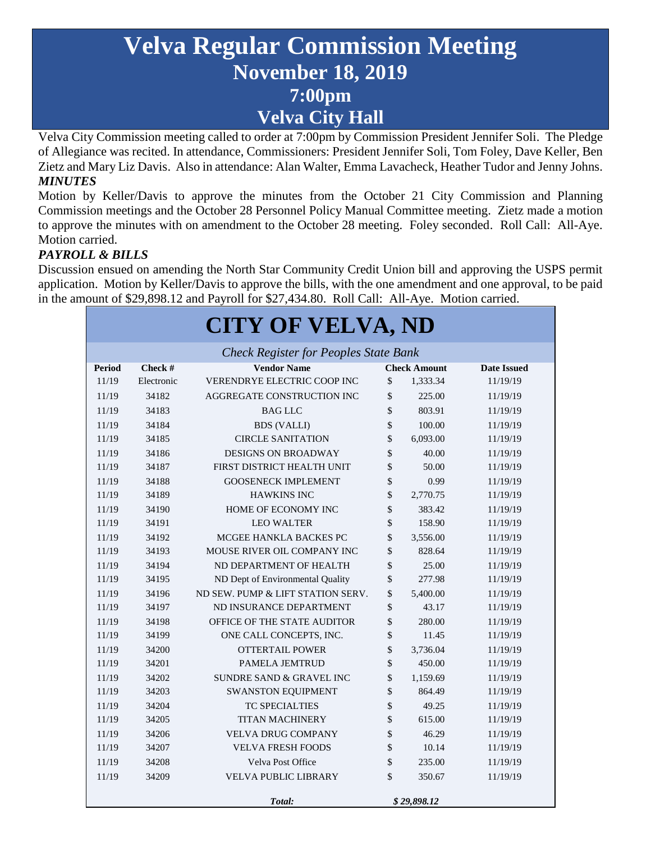# **Velva Regular Commission Meeting November 18, 2019 7:00pm Velva City Hall**

Velva City Commission meeting called to order at 7:00pm by Commission President Jennifer Soli. The Pledge of Allegiance was recited. In attendance, Commissioners: President Jennifer Soli, Tom Foley, Dave Keller, Ben Zietz and Mary Liz Davis. Also in attendance: Alan Walter, Emma Lavacheck, Heather Tudor and Jenny Johns. *MINUTES*

Motion by Keller/Davis to approve the minutes from the October 21 City Commission and Planning Commission meetings and the October 28 Personnel Policy Manual Committee meeting. Zietz made a motion to approve the minutes with on amendment to the October 28 meeting. Foley seconded. Roll Call: All-Aye. Motion carried.

#### *PAYROLL & BILLS*

Discussion ensued on amending the North Star Community Credit Union bill and approving the USPS permit application. Motion by Keller/Davis to approve the bills, with the one amendment and one approval, to be paid in the amount of \$29,898.12 and Payroll for \$27,434.80. Roll Call: All-Aye. Motion carried.

| <b>CITY OF VELVA, ND</b>                     |            |                                     |              |                     |                    |
|----------------------------------------------|------------|-------------------------------------|--------------|---------------------|--------------------|
| <b>Check Register for Peoples State Bank</b> |            |                                     |              |                     |                    |
| <b>Period</b>                                | Check #    | <b>Vendor Name</b>                  |              | <b>Check Amount</b> | <b>Date Issued</b> |
| 11/19                                        | Electronic | <b>VERENDRYE ELECTRIC COOP INC</b>  | $\mathbb{S}$ | 1,333.34            | 11/19/19           |
| 11/19                                        | 34182      | AGGREGATE CONSTRUCTION INC          | \$           | 225.00              | 11/19/19           |
| 11/19                                        | 34183      | <b>BAG LLC</b>                      | \$           | 803.91              | 11/19/19           |
| 11/19                                        | 34184      | <b>BDS</b> (VALLI)                  | \$           | 100.00              | 11/19/19           |
| 11/19                                        | 34185      | <b>CIRCLE SANITATION</b>            | \$           | 6,093.00            | 11/19/19           |
| 11/19                                        | 34186      | <b>DESIGNS ON BROADWAY</b>          | \$           | 40.00               | 11/19/19           |
| 11/19                                        | 34187      | FIRST DISTRICT HEALTH UNIT          | \$           | 50.00               | 11/19/19           |
| 11/19                                        | 34188      | <b>GOOSENECK IMPLEMENT</b>          | \$           | 0.99                | 11/19/19           |
| 11/19                                        | 34189      | <b>HAWKINS INC</b>                  | \$           | 2,770.75            | 11/19/19           |
| 11/19                                        | 34190      | HOME OF ECONOMY INC                 | \$           | 383.42              | 11/19/19           |
| 11/19                                        | 34191      | <b>LEO WALTER</b>                   | \$           | 158.90              | 11/19/19           |
| 11/19                                        | 34192      | MCGEE HANKLA BACKES PC              | \$           | 3,556.00            | 11/19/19           |
| 11/19                                        | 34193      | MOUSE RIVER OIL COMPANY INC         | \$           | 828.64              | 11/19/19           |
| 11/19                                        | 34194      | ND DEPARTMENT OF HEALTH             | \$           | 25.00               | 11/19/19           |
| 11/19                                        | 34195      | ND Dept of Environmental Quality    | \$           | 277.98              | 11/19/19           |
| 11/19                                        | 34196      | ND SEW. PUMP & LIFT STATION SERV.   | \$           | 5,400.00            | 11/19/19           |
| 11/19                                        | 34197      | ND INSURANCE DEPARTMENT             | \$           | 43.17               | 11/19/19           |
| 11/19                                        | 34198      | OFFICE OF THE STATE AUDITOR         | \$           | 280.00              | 11/19/19           |
| 11/19                                        | 34199      | ONE CALL CONCEPTS, INC.             | \$           | 11.45               | 11/19/19           |
| 11/19                                        | 34200      | <b>OTTERTAIL POWER</b>              | \$           | 3,736.04            | 11/19/19           |
| 11/19                                        | 34201      | <b>PAMELA JEMTRUD</b>               | \$           | 450.00              | 11/19/19           |
| 11/19                                        | 34202      | <b>SUNDRE SAND &amp; GRAVEL INC</b> | \$           | 1,159.69            | 11/19/19           |
| 11/19                                        | 34203      | SWANSTON EQUIPMENT                  | \$           | 864.49              | 11/19/19           |
| 11/19                                        | 34204      | <b>TC SPECIALTIES</b>               | \$           | 49.25               | 11/19/19           |
| 11/19                                        | 34205      | <b>TITAN MACHINERY</b>              | \$           | 615.00              | 11/19/19           |
| 11/19                                        | 34206      | <b>VELVA DRUG COMPANY</b>           | \$           | 46.29               | 11/19/19           |
| 11/19                                        | 34207      | <b>VELVA FRESH FOODS</b>            | \$           | 10.14               | 11/19/19           |
| 11/19                                        | 34208      | Velva Post Office                   | \$           | 235.00              | 11/19/19           |
| 11/19                                        | 34209      | <b>VELVA PUBLIC LIBRARY</b>         | \$           | 350.67              | 11/19/19           |
|                                              |            | Total:                              | \$29,898.12  |                     |                    |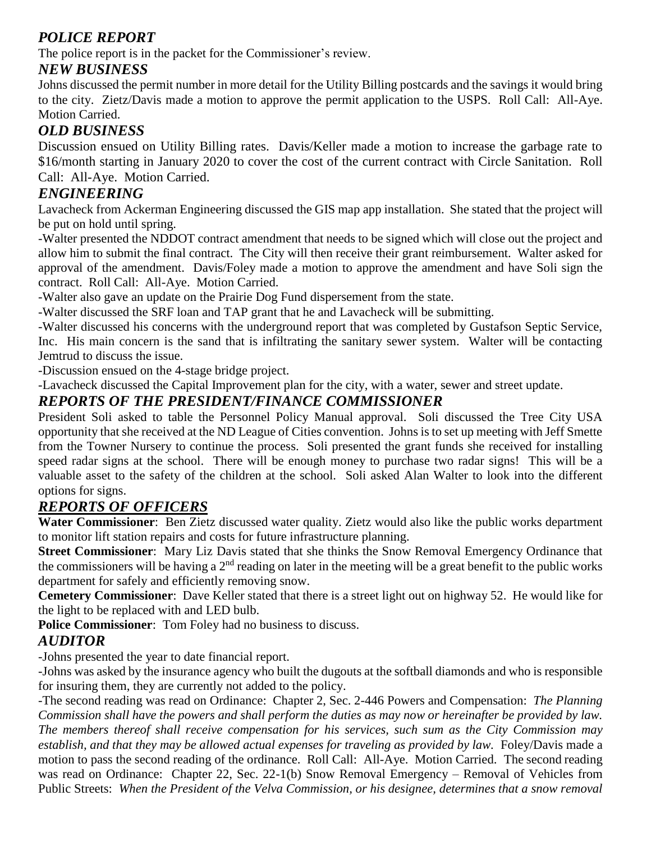## *POLICE REPORT*

The police report is in the packet for the Commissioner's review.

## *NEW BUSINESS*

Johns discussed the permit number in more detail for the Utility Billing postcards and the savings it would bring to the city. Zietz/Davis made a motion to approve the permit application to the USPS. Roll Call: All-Aye. Motion Carried.

## *OLD BUSINESS*

Discussion ensued on Utility Billing rates. Davis/Keller made a motion to increase the garbage rate to \$16/month starting in January 2020 to cover the cost of the current contract with Circle Sanitation. Roll Call: All-Aye. Motion Carried.

## *ENGINEERING*

Lavacheck from Ackerman Engineering discussed the GIS map app installation. She stated that the project will be put on hold until spring.

-Walter presented the NDDOT contract amendment that needs to be signed which will close out the project and allow him to submit the final contract. The City will then receive their grant reimbursement. Walter asked for approval of the amendment. Davis/Foley made a motion to approve the amendment and have Soli sign the contract. Roll Call: All-Aye. Motion Carried.

-Walter also gave an update on the Prairie Dog Fund dispersement from the state.

-Walter discussed the SRF loan and TAP grant that he and Lavacheck will be submitting.

-Walter discussed his concerns with the underground report that was completed by Gustafson Septic Service, Inc. His main concern is the sand that is infiltrating the sanitary sewer system. Walter will be contacting Jemtrud to discuss the issue.

-Discussion ensued on the 4-stage bridge project.

-Lavacheck discussed the Capital Improvement plan for the city, with a water, sewer and street update.

## *REPORTS OF THE PRESIDENT/FINANCE COMMISSIONER*

President Soli asked to table the Personnel Policy Manual approval. Soli discussed the Tree City USA opportunity that she received at the ND League of Cities convention. Johns is to set up meeting with Jeff Smette from the Towner Nursery to continue the process. Soli presented the grant funds she received for installing speed radar signs at the school. There will be enough money to purchase two radar signs! This will be a valuable asset to the safety of the children at the school. Soli asked Alan Walter to look into the different options for signs.

## *REPORTS OF OFFICERS*

**Water Commissioner**: Ben Zietz discussed water quality. Zietz would also like the public works department to monitor lift station repairs and costs for future infrastructure planning.

**Street Commissioner**: Mary Liz Davis stated that she thinks the Snow Removal Emergency Ordinance that the commissioners will be having a  $2<sup>nd</sup>$  reading on later in the meeting will be a great benefit to the public works department for safely and efficiently removing snow.

**Cemetery Commissioner**: Dave Keller stated that there is a street light out on highway 52. He would like for the light to be replaced with and LED bulb.

**Police Commissioner**: Tom Foley had no business to discuss.

## *AUDITOR*

-Johns presented the year to date financial report.

-Johns was asked by the insurance agency who built the dugouts at the softball diamonds and who is responsible for insuring them, they are currently not added to the policy.

-The second reading was read on Ordinance: Chapter 2, Sec. 2-446 Powers and Compensation: *The Planning Commission shall have the powers and shall perform the duties as may now or hereinafter be provided by law. The members thereof shall receive compensation for his services, such sum as the City Commission may establish, and that they may be allowed actual expenses for traveling as provided by law.* Foley/Davis made a motion to pass the second reading of the ordinance. Roll Call: All-Aye. Motion Carried. The second reading was read on Ordinance: Chapter 22, Sec. 22-1(b) Snow Removal Emergency – Removal of Vehicles from Public Streets: *When the President of the Velva Commission, or his designee, determines that a snow removal*